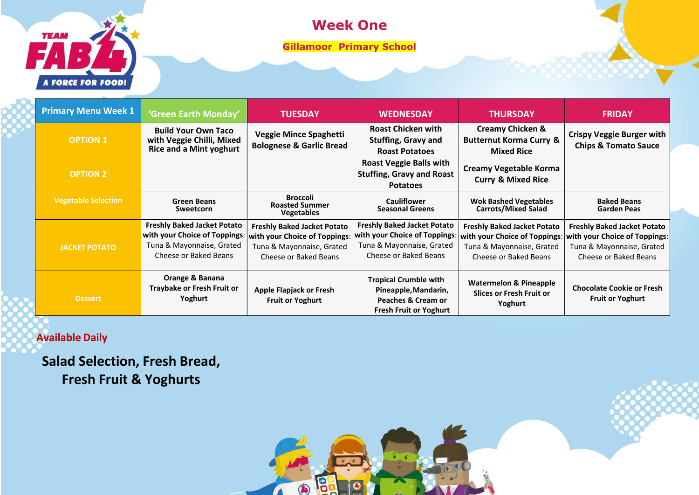

#### **Week One**

**Gillamoor Primary School**

| <b>Primary Menu Week 1</b> | 'Green Earth Monday'                                                                                                      | <b>TUESDAY</b>                                                                                                            | <b>WEDNESDAY</b>                                                                                                          | <b>THURSDAY</b>                                                                                                           | <b>FRIDAY</b>                                                                                                             |
|----------------------------|---------------------------------------------------------------------------------------------------------------------------|---------------------------------------------------------------------------------------------------------------------------|---------------------------------------------------------------------------------------------------------------------------|---------------------------------------------------------------------------------------------------------------------------|---------------------------------------------------------------------------------------------------------------------------|
| <b>OPTION 1</b>            | <b>Build Your Own Taco</b><br>with Veggie Chilli, Mixed<br><b>Rice and a Mint yoghurt</b>                                 | Veggie Mince Spaghetti<br><b>Bolognese &amp; Garlic Bread</b>                                                             | <b>Roast Chicken with</b><br><b>Stuffing, Gravy and</b><br><b>Roast Potatoes</b>                                          | <b>Creamy Chicken &amp;</b><br><b>Butternut Korma Curry &amp;</b><br><b>Mixed Rice</b>                                    | <b>Crispy Veggie Burger with</b><br><b>Chips &amp; Tomato Sauce</b>                                                       |
| <b>OPTION 2</b>            |                                                                                                                           |                                                                                                                           | <b>Roast Veggie Balls with</b><br><b>Stuffing, Gravy and Roast</b><br><b>Potatoes</b>                                     | <b>Creamy Vegetable Korma</b><br><b>Curry &amp; Mixed Rice</b>                                                            |                                                                                                                           |
| <b>Vegetable Selection</b> | <b>Green Beans</b><br><b>Sweetcorn</b>                                                                                    | <b>Broccoli</b><br><b>Roasted Summer</b><br><b>Vegetables</b>                                                             | <b>Cauliflower</b><br><b>Seasonal Greens</b>                                                                              | <b>Wok Bashed Vegetables</b><br>Carrots/Mixed Salad                                                                       | <b>Baked Beans</b><br>Garden Peas                                                                                         |
| <b>JACKET POTATO</b>       | <b>Freshly Baked Jacket Potato</b><br>with your Choice of Toppings:<br>Tuna & Mayonnaise, Grated<br>Cheese or Baked Beans | <b>Freshly Baked Jacket Potato</b><br>with your Choice of Toppings:<br>Tuna & Mayonnaise, Grated<br>Cheese or Baked Beans | <b>Freshly Baked Jacket Potato</b><br>with your Choice of Toppings:<br>Tuna & Mayonnaise, Grated<br>Cheese or Baked Beans | <b>Freshly Baked Jacket Potato</b><br>with your Choice of Toppings:<br>Tuna & Mayonnaise, Grated<br>Cheese or Baked Beans | <b>Freshly Baked Jacket Potato</b><br>with your Choice of Toppings:<br>Tuna & Mayonnaise, Grated<br>Cheese or Baked Beans |
| Dessert                    | Orange & Banana<br><b>Traybake or Fresh Fruit or</b><br>Yoghurt                                                           | <b>Apple Flapjack or Fresh</b><br><b>Fruit or Yoghurt</b>                                                                 | <b>Tropical Crumble with</b><br>Pineapple, Mandarin,<br>Peaches & Cream or<br><b>Fresh Fruit or Yoghurt</b>               | <b>Watermelon &amp; Pineapple</b><br><b>Slices or Fresh Fruit or</b><br>Yoghurt                                           | <b>Chocolate Cookie or Fresh</b><br><b>Fruit or Yoghurt</b>                                                               |

B

 $\bigcirc$ 

 $\sqrt{ }$ 

 **Available Daily**

**Salad Selection, Fresh Bread, Fresh Fruit & Yoghurts**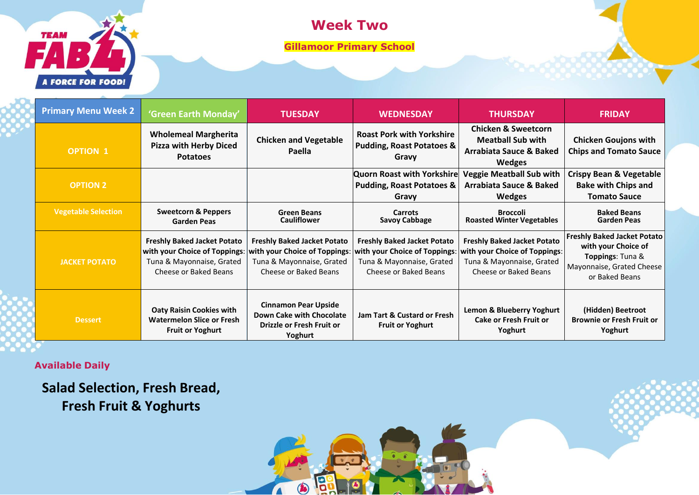# **TEAM** A FORCE FOR FOOD!

### **Week Two**

**Gillamoor Primary School**

| <b>Primary Menu Week 2</b> | 'Green Earth Monday'                                                                                                      | <b>TUESDAY</b>                                                                                                            | <b>WEDNESDAY</b>                                                                                                          | <b>THURSDAY</b>                                                                                                           | <b>FRIDAY</b>                                                                                                                |
|----------------------------|---------------------------------------------------------------------------------------------------------------------------|---------------------------------------------------------------------------------------------------------------------------|---------------------------------------------------------------------------------------------------------------------------|---------------------------------------------------------------------------------------------------------------------------|------------------------------------------------------------------------------------------------------------------------------|
| <b>OPTION 1</b>            | <b>Wholemeal Margherita</b><br><b>Pizza with Herby Diced</b><br><b>Potatoes</b>                                           | <b>Chicken and Vegetable</b><br>Paella                                                                                    | <b>Roast Pork with Yorkshire</b><br><b>Pudding, Roast Potatoes &amp;</b><br>Gravy                                         | <b>Chicken &amp; Sweetcorn</b><br><b>Meatball Sub with</b><br>Arrabiata Sauce & Baked<br><b>Wedges</b>                    | <b>Chicken Goujons with</b><br><b>Chips and Tomato Sauce</b>                                                                 |
| <b>OPTION 2</b>            |                                                                                                                           |                                                                                                                           | <b>Quorn Roast with Yorkshire</b><br><b>Pudding, Roast Potatoes &amp;</b><br>Gravy                                        | <b>Veggie Meatball Sub with</b><br>Arrabiata Sauce & Baked<br>Wedges                                                      | <b>Crispy Bean &amp; Vegetable</b><br><b>Bake with Chips and</b><br><b>Tomato Sauce</b>                                      |
| <b>Vegetable Selection</b> | <b>Sweetcorn &amp; Peppers</b><br><b>Garden Peas</b>                                                                      | <b>Green Beans</b><br><b>Cauliflower</b>                                                                                  | <b>Carrots</b><br><b>Savoy Cabbage</b>                                                                                    | <b>Broccoli</b><br><b>Roasted Winter Vegetables</b>                                                                       | <b>Baked Beans</b><br><b>Garden Peas</b>                                                                                     |
| <b>JACKET POTATO</b>       | <b>Freshly Baked Jacket Potato</b><br>with your Choice of Toppings:<br>Tuna & Mayonnaise, Grated<br>Cheese or Baked Beans | <b>Freshly Baked Jacket Potato</b><br>with your Choice of Toppings:<br>Tuna & Mayonnaise, Grated<br>Cheese or Baked Beans | <b>Freshly Baked Jacket Potato</b><br>with your Choice of Toppings:<br>Tuna & Mayonnaise, Grated<br>Cheese or Baked Beans | <b>Freshly Baked Jacket Potato</b><br>with your Choice of Toppings:<br>Tuna & Mayonnaise, Grated<br>Cheese or Baked Beans | <b>Freshly Baked Jacket Potato</b><br>with your Choice of<br>Toppings: Tuna &<br>Mayonnaise, Grated Cheese<br>or Baked Beans |
| <b>Dessert</b>             | <b>Oaty Raisin Cookies with</b><br><b>Watermelon Slice or Fresh</b><br><b>Fruit or Yoghurt</b>                            | <b>Cinnamon Pear Upside</b><br>Down Cake with Chocolate<br>Drizzle or Fresh Fruit or<br>Yoghurt                           | <b>Jam Tart &amp; Custard or Fresh</b><br><b>Fruit or Yoghurt</b>                                                         | Lemon & Blueberry Yoghurt<br><b>Cake or Fresh Fruit or</b><br>Yoghurt                                                     | (Hidden) Beetroot<br><b>Brownie or Fresh Fruit or</b><br>Yoghurt                                                             |

B

 $\bigcirc$ 

 $\Lambda$ 

 **Available Daily**

**Salad Selection, Fresh Bread, Fresh Fruit & Yoghurts**